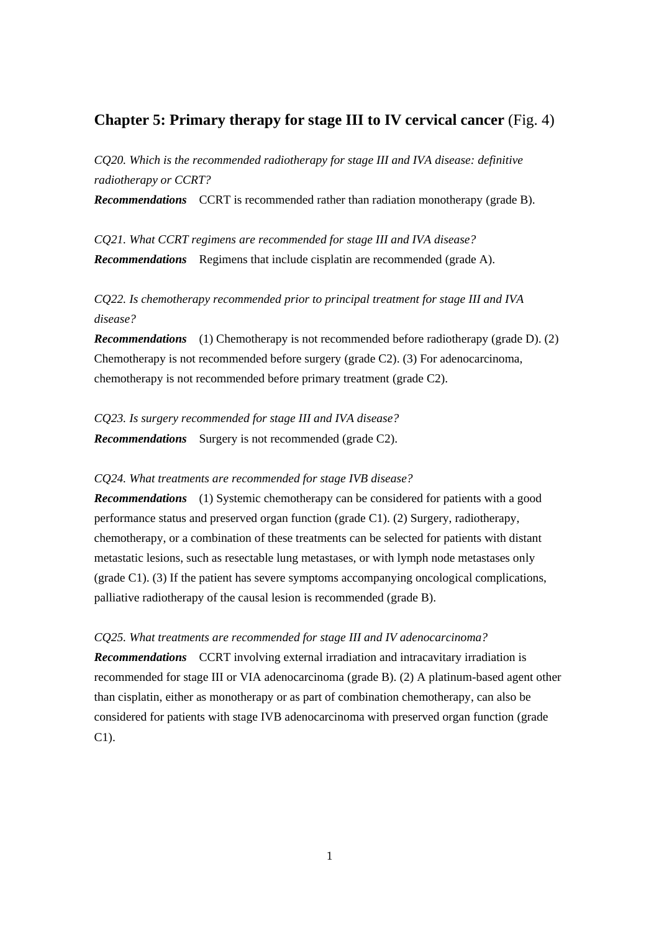## **Chapter 5: Primary therapy for stage III to IV cervical cancer** (Fig. 4)

*CQ20. Which is the recommended radiotherapy for stage III and IVA disease: definitive radiotherapy or CCRT?*

*Recommendations* CCRT is recommended rather than radiation monotherapy (grade B).

*CQ21. What CCRT regimens are recommended for stage III and IVA disease? Recommendations* Regimens that include cisplatin are recommended (grade A).

*CQ22. Is chemotherapy recommended prior to principal treatment for stage III and IVA disease?*

*Recommendations* (1) Chemotherapy is not recommended before radiotherapy (grade D). (2) Chemotherapy is not recommended before surgery (grade C2). (3) For adenocarcinoma, chemotherapy is not recommended before primary treatment (grade C2).

*CQ23. Is surgery recommended for stage III and IVA disease? Recommendations* Surgery is not recommended (grade C2).

## *CQ24. What treatments are recommended for stage IVB disease?*

*Recommendations* (1) Systemic chemotherapy can be considered for patients with a good performance status and preserved organ function (grade C1). (2) Surgery, radiotherapy, chemotherapy, or a combination of these treatments can be selected for patients with distant metastatic lesions, such as resectable lung metastases, or with lymph node metastases only (grade C1). (3) If the patient has severe symptoms accompanying oncological complications, palliative radiotherapy of the causal lesion is recommended (grade B).

*CQ25. What treatments are recommended for stage III and IV adenocarcinoma?*

*Recommendations* CCRT involving external irradiation and intracavitary irradiation is recommended for stage III or VIA adenocarcinoma (grade B). (2) A platinum-based agent other than cisplatin, either as monotherapy or as part of combination chemotherapy, can also be considered for patients with stage IVB adenocarcinoma with preserved organ function (grade C1).